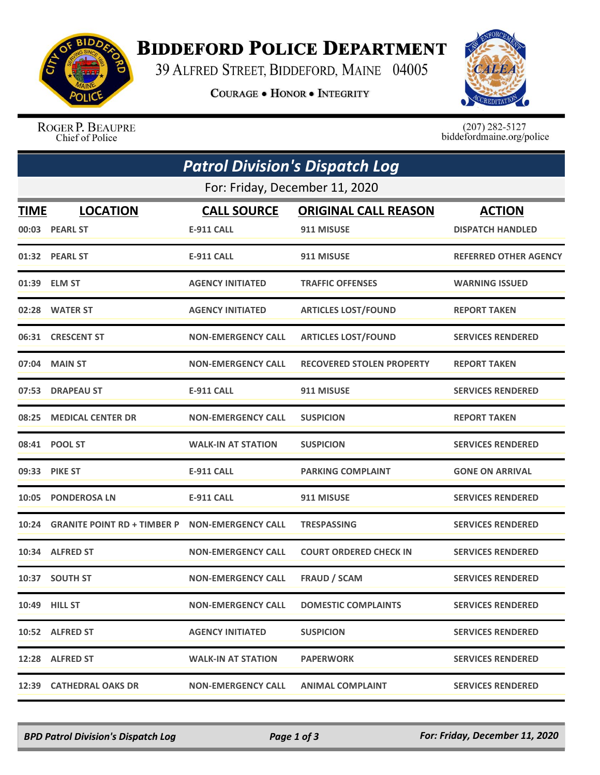

## **BIDDEFORD POLICE DEPARTMENT**

39 ALFRED STREET, BIDDEFORD, MAINE 04005

**COURAGE . HONOR . INTEGRITY** 



ROGER P. BEAUPRE Chief of Police

 $(207)$  282-5127<br>biddefordmaine.org/police

|                                | <b>Patrol Division's Dispatch Log</b> |                           |                                  |                              |  |  |  |
|--------------------------------|---------------------------------------|---------------------------|----------------------------------|------------------------------|--|--|--|
| For: Friday, December 11, 2020 |                                       |                           |                                  |                              |  |  |  |
| <b>TIME</b>                    | <b>LOCATION</b>                       | <b>CALL SOURCE</b>        | <b>ORIGINAL CALL REASON</b>      | <b>ACTION</b>                |  |  |  |
|                                | 00:03 PEARL ST                        | <b>E-911 CALL</b>         | 911 MISUSE                       | <b>DISPATCH HANDLED</b>      |  |  |  |
|                                | 01:32 PEARL ST                        | <b>E-911 CALL</b>         | 911 MISUSE                       | <b>REFERRED OTHER AGENCY</b> |  |  |  |
|                                | 01:39 ELM ST                          | <b>AGENCY INITIATED</b>   | <b>TRAFFIC OFFENSES</b>          | <b>WARNING ISSUED</b>        |  |  |  |
|                                | 02:28 WATER ST                        | <b>AGENCY INITIATED</b>   | <b>ARTICLES LOST/FOUND</b>       | <b>REPORT TAKEN</b>          |  |  |  |
|                                | 06:31 CRESCENT ST                     | <b>NON-EMERGENCY CALL</b> | <b>ARTICLES LOST/FOUND</b>       | <b>SERVICES RENDERED</b>     |  |  |  |
|                                | 07:04 MAIN ST                         | <b>NON-EMERGENCY CALL</b> | <b>RECOVERED STOLEN PROPERTY</b> | <b>REPORT TAKEN</b>          |  |  |  |
| 07:53                          | <b>DRAPEAU ST</b>                     | <b>E-911 CALL</b>         | 911 MISUSE                       | <b>SERVICES RENDERED</b>     |  |  |  |
|                                | 08:25 MEDICAL CENTER DR               | <b>NON-EMERGENCY CALL</b> | <b>SUSPICION</b>                 | <b>REPORT TAKEN</b>          |  |  |  |
|                                | 08:41 POOL ST                         | <b>WALK-IN AT STATION</b> | <b>SUSPICION</b>                 | <b>SERVICES RENDERED</b>     |  |  |  |
|                                | 09:33 PIKE ST                         | <b>E-911 CALL</b>         | <b>PARKING COMPLAINT</b>         | <b>GONE ON ARRIVAL</b>       |  |  |  |
| 10:05                          | <b>PONDEROSA LN</b>                   | <b>E-911 CALL</b>         | 911 MISUSE                       | <b>SERVICES RENDERED</b>     |  |  |  |
| 10:24                          | <b>GRANITE POINT RD + TIMBER P</b>    | <b>NON-EMERGENCY CALL</b> | <b>TRESPASSING</b>               | <b>SERVICES RENDERED</b>     |  |  |  |
|                                | 10:34 ALFRED ST                       | <b>NON-EMERGENCY CALL</b> | <b>COURT ORDERED CHECK IN</b>    | <b>SERVICES RENDERED</b>     |  |  |  |
|                                | 10:37 SOUTH ST                        | <b>NON-EMERGENCY CALL</b> | <b>FRAUD / SCAM</b>              | <b>SERVICES RENDERED</b>     |  |  |  |
|                                | 10:49 HILL ST                         | <b>NON-EMERGENCY CALL</b> | <b>DOMESTIC COMPLAINTS</b>       | <b>SERVICES RENDERED</b>     |  |  |  |
|                                | 10:52 ALFRED ST                       | <b>AGENCY INITIATED</b>   | <b>SUSPICION</b>                 | <b>SERVICES RENDERED</b>     |  |  |  |
|                                | 12:28 ALFRED ST                       | <b>WALK-IN AT STATION</b> | <b>PAPERWORK</b>                 | <b>SERVICES RENDERED</b>     |  |  |  |
|                                | 12:39 CATHEDRAL OAKS DR               | <b>NON-EMERGENCY CALL</b> | <b>ANIMAL COMPLAINT</b>          | <b>SERVICES RENDERED</b>     |  |  |  |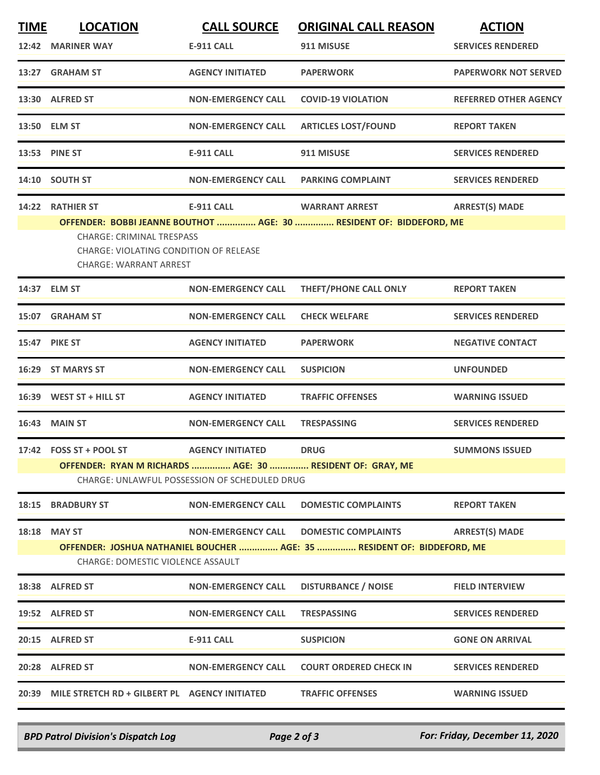| <b>TIME</b> | <b>LOCATION</b>                                                                                                   | <b>CALL SOURCE</b>        | <b>ORIGINAL CALL REASON</b>                                             | <b>ACTION</b>                |  |  |
|-------------|-------------------------------------------------------------------------------------------------------------------|---------------------------|-------------------------------------------------------------------------|------------------------------|--|--|
|             | 12:42 MARINER WAY                                                                                                 | <b>E-911 CALL</b>         | 911 MISUSE                                                              | <b>SERVICES RENDERED</b>     |  |  |
|             | 13:27 GRAHAM ST                                                                                                   | <b>AGENCY INITIATED</b>   | <b>PAPERWORK</b>                                                        | <b>PAPERWORK NOT SERVED</b>  |  |  |
|             | 13:30 ALFRED ST                                                                                                   | <b>NON-EMERGENCY CALL</b> | <b>COVID-19 VIOLATION</b>                                               | <b>REFERRED OTHER AGENCY</b> |  |  |
|             | 13:50 ELM ST                                                                                                      | <b>NON-EMERGENCY CALL</b> | <b>ARTICLES LOST/FOUND</b>                                              | <b>REPORT TAKEN</b>          |  |  |
|             | 13:53 PINE ST                                                                                                     | <b>E-911 CALL</b>         | 911 MISUSE                                                              | <b>SERVICES RENDERED</b>     |  |  |
|             | 14:10 SOUTH ST                                                                                                    | <b>NON-EMERGENCY CALL</b> | <b>PARKING COMPLAINT</b>                                                | <b>SERVICES RENDERED</b>     |  |  |
|             | 14:22 RATHIER ST                                                                                                  | <b>E-911 CALL</b>         | <b>WARRANT ARREST</b>                                                   | <b>ARREST(S) MADE</b>        |  |  |
|             |                                                                                                                   |                           | OFFENDER: BOBBI JEANNE BOUTHOT  AGE: 30  RESIDENT OF: BIDDEFORD, ME     |                              |  |  |
|             | <b>CHARGE: CRIMINAL TRESPASS</b><br>CHARGE: VIOLATING CONDITION OF RELEASE<br><b>CHARGE: WARRANT ARREST</b>       |                           |                                                                         |                              |  |  |
|             | 14:37 ELM ST                                                                                                      | <b>NON-EMERGENCY CALL</b> | <b>THEFT/PHONE CALL ONLY</b>                                            | <b>REPORT TAKEN</b>          |  |  |
|             | 15:07 GRAHAM ST                                                                                                   | <b>NON-EMERGENCY CALL</b> | <b>CHECK WELFARE</b>                                                    | <b>SERVICES RENDERED</b>     |  |  |
|             | <b>15:47 PIKE ST</b>                                                                                              | <b>AGENCY INITIATED</b>   | <b>PAPERWORK</b>                                                        | <b>NEGATIVE CONTACT</b>      |  |  |
|             | 16:29 ST MARYS ST                                                                                                 | <b>NON-EMERGENCY CALL</b> | <b>SUSPICION</b>                                                        | <b>UNFOUNDED</b>             |  |  |
|             | 16:39 WEST ST + HILL ST                                                                                           | <b>AGENCY INITIATED</b>   | <b>TRAFFIC OFFENSES</b>                                                 | <b>WARNING ISSUED</b>        |  |  |
|             | <b>16:43 MAIN ST</b>                                                                                              | <b>NON-EMERGENCY CALL</b> | <b>TRESPASSING</b>                                                      | <b>SERVICES RENDERED</b>     |  |  |
|             | 17:42 FOSS ST + POOL ST                                                                                           | <b>AGENCY INITIATED</b>   | <b>DRUG</b>                                                             | <b>SUMMONS ISSUED</b>        |  |  |
|             | OFFENDER: RYAN M RICHARDS  AGE: 30  RESIDENT OF: GRAY, ME<br><b>CHARGE: UNLAWFUL POSSESSION OF SCHEDULED DRUG</b> |                           |                                                                         |                              |  |  |
| 18:15       | <b>BRADBURY ST</b>                                                                                                | <b>NON-EMERGENCY CALL</b> | <b>DOMESTIC COMPLAINTS</b>                                              | <b>REPORT TAKEN</b>          |  |  |
| 18:18       | <b>MAY ST</b>                                                                                                     | <b>NON-EMERGENCY CALL</b> | <b>DOMESTIC COMPLAINTS</b>                                              | <b>ARREST(S) MADE</b>        |  |  |
|             |                                                                                                                   |                           | OFFENDER: JOSHUA NATHANIEL BOUCHER  AGE: 35  RESIDENT OF: BIDDEFORD, ME |                              |  |  |
|             | CHARGE: DOMESTIC VIOLENCE ASSAULT                                                                                 |                           |                                                                         |                              |  |  |
|             | 18:38 ALFRED ST                                                                                                   | <b>NON-EMERGENCY CALL</b> | <b>DISTURBANCE / NOISE</b>                                              | <b>FIELD INTERVIEW</b>       |  |  |
|             | 19:52 ALFRED ST                                                                                                   | <b>NON-EMERGENCY CALL</b> | <b>TRESPASSING</b>                                                      | <b>SERVICES RENDERED</b>     |  |  |
|             | 20:15 ALFRED ST                                                                                                   | <b>E-911 CALL</b>         | <b>SUSPICION</b>                                                        | <b>GONE ON ARRIVAL</b>       |  |  |
|             | 20:28 ALFRED ST                                                                                                   | <b>NON-EMERGENCY CALL</b> | <b>COURT ORDERED CHECK IN</b>                                           | <b>SERVICES RENDERED</b>     |  |  |
|             | 20:39 MILE STRETCH RD + GILBERT PL AGENCY INITIATED                                                               |                           | <b>TRAFFIC OFFENSES</b>                                                 | <b>WARNING ISSUED</b>        |  |  |
|             |                                                                                                                   |                           |                                                                         |                              |  |  |

*BPD Patrol Division's Dispatch Log Page 2 of 3 For: Friday, December 11, 2020*